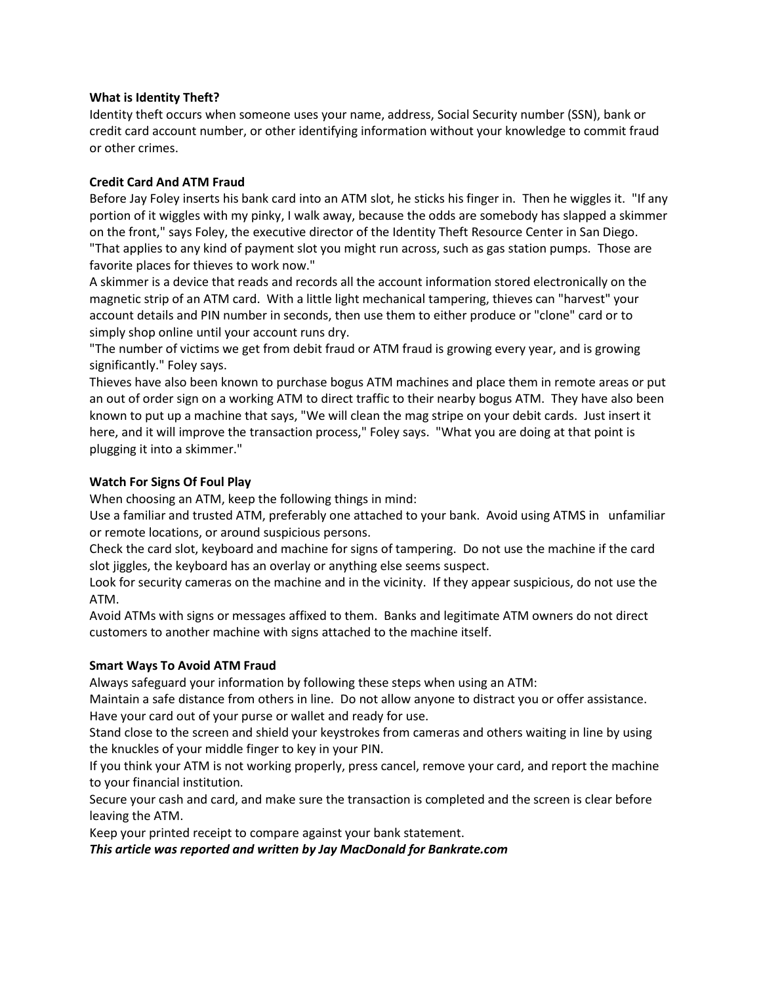## **What is Identity Theft?**

Identity theft occurs when someone uses your name, address, Social Security number (SSN), bank or credit card account number, or other identifying information without your knowledge to commit fraud or other crimes.

## **Credit Card And ATM Fraud**

Before Jay Foley inserts his bank card into an ATM slot, he sticks his finger in. Then he wiggles it. "If any portion of it wiggles with my pinky, I walk away, because the odds are somebody has slapped a skimmer on the front," says Foley, the executive director of the Identity Theft Resource Center in San Diego. "That applies to any kind of payment slot you might run across, such as gas station pumps. Those are favorite places for thieves to work now."

A skimmer is a device that reads and records all the account information stored electronically on the magnetic strip of an ATM card. With a little light mechanical tampering, thieves can "harvest" your account details and PIN number in seconds, then use them to either produce or "clone" card or to simply shop online until your account runs dry.

"The number of victims we get from debit fraud or ATM fraud is growing every year, and is growing significantly." Foley says.

Thieves have also been known to purchase bogus ATM machines and place them in remote areas or put an out of order sign on a working ATM to direct traffic to their nearby bogus ATM. They have also been known to put up a machine that says, "We will clean the mag stripe on your debit cards. Just insert it here, and it will improve the transaction process," Foley says. "What you are doing at that point is plugging it into a skimmer."

### **Watch For Signs Of Foul Play**

When choosing an ATM, keep the following things in mind:

Use a familiar and trusted ATM, preferably one attached to your bank. Avoid using ATMS in unfamiliar or remote locations, or around suspicious persons.

Check the card slot, keyboard and machine for signs of tampering. Do not use the machine if the card slot jiggles, the keyboard has an overlay or anything else seems suspect.

Look for security cameras on the machine and in the vicinity. If they appear suspicious, do not use the ATM.

Avoid ATMs with signs or messages affixed to them. Banks and legitimate ATM owners do not direct customers to another machine with signs attached to the machine itself.

#### **Smart Ways To Avoid ATM Fraud**

Always safeguard your information by following these steps when using an ATM:

Maintain a safe distance from others in line. Do not allow anyone to distract you or offer assistance. Have your card out of your purse or wallet and ready for use.

Stand close to the screen and shield your keystrokes from cameras and others waiting in line by using the knuckles of your middle finger to key in your PIN.

If you think your ATM is not working properly, press cancel, remove your card, and report the machine to your financial institution.

Secure your cash and card, and make sure the transaction is completed and the screen is clear before leaving the ATM.

Keep your printed receipt to compare against your bank statement.

*This article was reported and written by Jay MacDonald for Bankrate.com*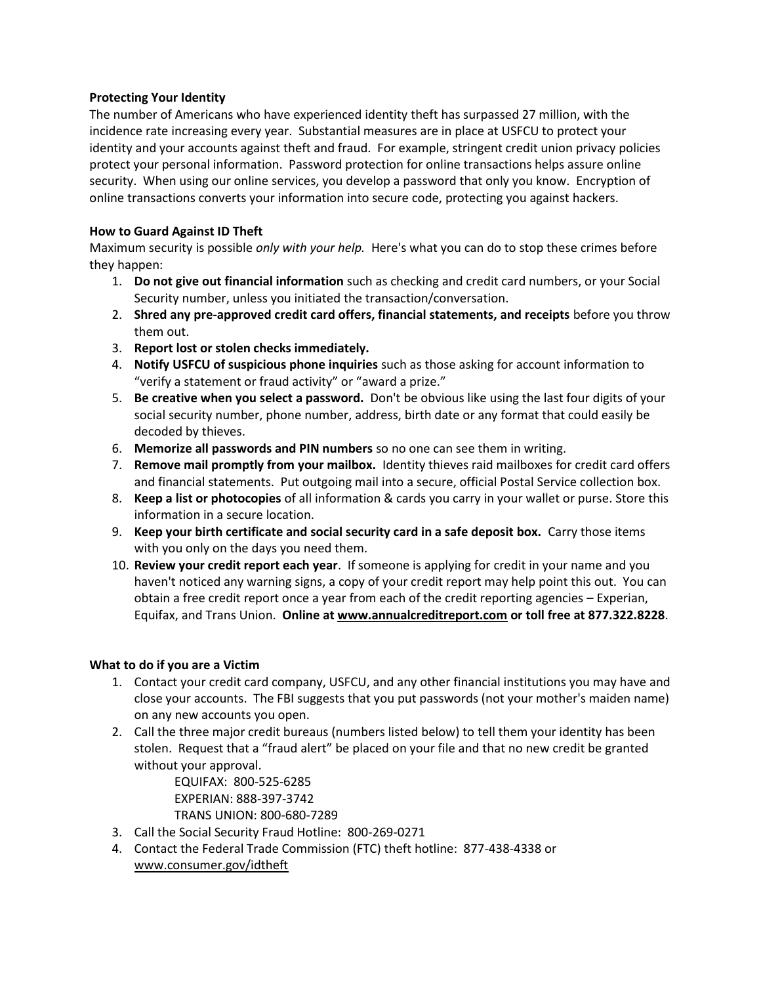## **Protecting Your Identity**

The number of Americans who have experienced identity theft has surpassed 27 million, with the incidence rate increasing every year. Substantial measures are in place at USFCU to protect your identity and your accounts against theft and fraud. For example, stringent credit union privacy policies protect your personal information. Password protection for online transactions helps assure online security. When using our online services, you develop a password that only you know. Encryption of online transactions converts your information into secure code, protecting you against hackers.

## **How to Guard Against ID Theft**

Maximum security is possible *only with your help.* Here's what you can do to stop these crimes before they happen:

- 1. **Do not give out financial information** such as checking and credit card numbers, or your Social Security number, unless you initiated the transaction/conversation.
- 2. **Shred any pre-approved credit card offers, financial statements, and receipts** before you throw them out.
- 3. **Report lost or stolen checks immediately.**
- 4. **Notify USFCU of suspicious phone inquiries** such as those asking for account information to "verify a statement or fraud activity" or "award a prize."
- 5. **Be creative when you select a password.** Don't be obvious like using the last four digits of your social security number, phone number, address, birth date or any format that could easily be decoded by thieves.
- 6. **Memorize all passwords and PIN numbers** so no one can see them in writing.
- 7. **Remove mail promptly from your mailbox.** Identity thieves raid mailboxes for credit card offers and financial statements. Put outgoing mail into a secure, official Postal Service collection box.
- 8. **Keep a list or photocopies** of all information & cards you carry in your wallet or purse. Store this information in a secure location.
- 9. **Keep your birth certificate and social security card in a safe deposit box.** Carry those items with you only on the days you need them.
- 10. **Review your credit report each year**. If someone is applying for credit in your name and you haven't noticed any warning signs, a copy of your credit report may help point this out. You can obtain a free credit report once a year from each of the credit reporting agencies – Experian, Equifax, and Trans Union. **Online a[t www.annualcreditreport.com](http://www.usfcu.org/ASP/outside_link.asp?to=http://www.annualcreditreport.com/) or toll free at 877.322.8228**.

# **What to do if you are a Victim**

- 1. Contact your credit card company, USFCU, and any other financial institutions you may have and close your accounts. The FBI suggests that you put passwords (not your mother's maiden name) on any new accounts you open.
- 2. Call the three major credit bureaus (numbers listed below) to tell them your identity has been stolen. Request that a "fraud alert" be placed on your file and that no new credit be granted without your approval.

 EQUIFAX: 800-525-6285 EXPERIAN: 888-397-3742 TRANS UNION: 800-680-7289

- 3. Call the Social Security Fraud Hotline: 800-269-0271
- 4. Contact the Federal Trade Commission (FTC) theft hotline: 877-438-4338 or [www.consumer.gov/idtheft](http://www.usfcu.org/ASP/outside_link.asp?to=http://www.consumer.gov/idtheft)